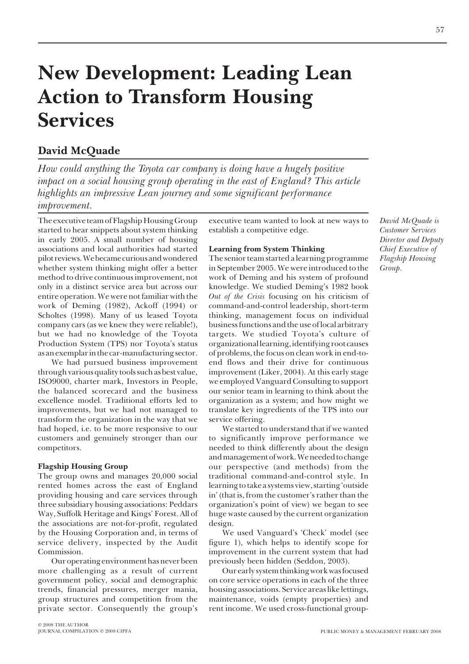# **New Development: Leading Lean Action to Transform Housing Services**

### **David McQuade**

*How could anything the Toyota car company is doing have a hugely positive impact on a social housing group operating in the east of England? This article highlights an impressive Lean journey and some significant performance improvement.*

The executive team of Flagship Housing Group started to hear snippets about system thinking in early 2005. A small number of housing associations and local authorities had started pilot reviews. We became curious and wondered whether system thinking might offer a better method to drive continuous improvement, not only in a distinct service area but across our entire operation. We were not familiar with the work of Deming (1982), Ackoff (1994) or Scholtes (1998). Many of us leased Toyota company cars (as we knew they were reliable!), but we had no knowledge of the Toyota Production System (TPS) nor Toyota's status as an exemplar in the car-manufacturing sector.

We had pursued business improvement through various quality tools such as best value, ISO9000, charter mark, Investors in People, the balanced scorecard and the business excellence model. Traditional efforts led to improvements, but we had not managed to transform the organization in the way that we had hoped, i.e. to be more responsive to our customers and genuinely stronger than our competitors.

#### **Flagship Housing Group**

The group owns and manages 20,000 social rented homes across the east of England providing housing and care services through three subsidiary housing associations: Peddars Way, Suffolk Heritage and Kings' Forest. All of the associations are not-for-profit, regulated by the Housing Corporation and, in terms of service delivery, inspected by the Audit Commission.

Our operating environment has never been more challenging as a result of current government policy, social and demographic trends, financial pressures, merger mania, group structures and competition from the private sector. Consequently the group's

© 2008 THE AUTHOR JOURNAL COMPILATION © 2008 CIPFA executive team wanted to look at new ways to establish a competitive edge.

#### **Learning from System Thinking**

The senior team started a learning programme in September 2005. We were introduced to the work of Deming and his system of profound knowledge. We studied Deming's 1982 book *Out of the Crisis* focusing on his criticism of command-and-control leadership, short-term thinking, management focus on individual business functions and the use of local arbitrary targets. We studied Toyota's culture of organizational learning, identifying root causes of problems, the focus on clean work in end-toend flows and their drive for continuous improvement (Liker, 2004). At this early stage we employed Vanguard Consulting to support our senior team in learning to think about the organization as a system; and how might we translate key ingredients of the TPS into our service offering.

We started to understand that if we wanted to significantly improve performance we needed to think differently about the design and management of work. We needed to change our perspective (and methods) from the traditional command-and-control style. In learning to take a systems view, starting 'outside in' (that is, from the customer's rather than the organization's point of view) we began to see huge waste caused by the current organization design.

We used Vanguard's 'Check' model (see figure 1), which helps to identify scope for improvement in the current system that had previously been hidden (Seddon, 2003).

Our early system thinking work was focused on core service operations in each of the three housing associations. Service areas like lettings, maintenance, voids (empty properties) and rent income. We used cross-functional group*David McQuade is Customer Services Director and Deputy Chief Executive of Flagship Housing Group.*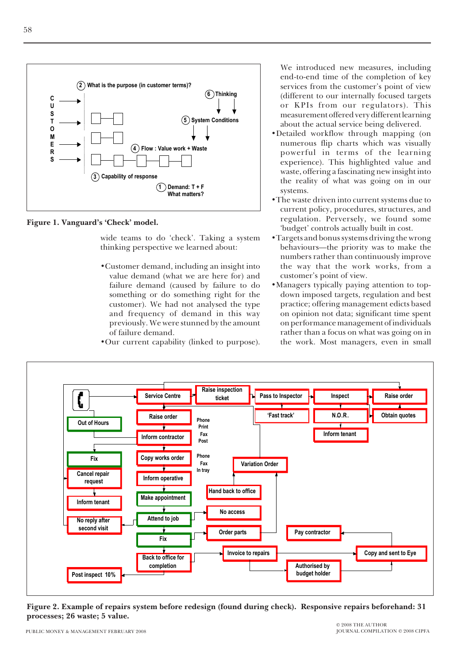

**3 Capability of response**

**Figure 1. Vanguard's 'Check' model.**

wide teams to do 'check'. Taking a system thinking perspective we learned about:

**Demand: T + F 1 What matters?**

- •Customer demand, including an insight into value demand (what we are here for) and failure demand (caused by failure to do something or do something right for the customer). We had not analysed the type and frequency of demand in this way previously. We were stunned by the amount of failure demand.
- •Our current capability (linked to purpose).

We introduced new measures, including end-to-end time of the completion of key services from the customer's point of view (different to our internally focused targets or KPIs from our regulators). This measurement offered very different learning about the actual service being delivered.

- •Detailed workflow through mapping (on numerous flip charts which was visually powerful in terms of the learning experience). This highlighted value and waste, offering a fascinating new insight into the reality of what was going on in our systems.
- •The waste driven into current systems due to current policy, procedures, structures, and regulation. Perversely, we found some 'budget' controls actually built in cost.
- •Targets and bonus systems driving the wrong behaviours—the priority was to make the numbers rather than continuously improve the way that the work works, from a customer's point of view.
- •Managers typically paying attention to topdown imposed targets, regulation and best practice; offering management edicts based on opinion not data; significant time spent on performance management of individuals rather than a focus on what was going on in the work. Most managers, even in small



**Figure 2. Example of repairs system before redesign (found during check). Responsive repairs beforehand: 31 processes; 26 waste; 5 value.**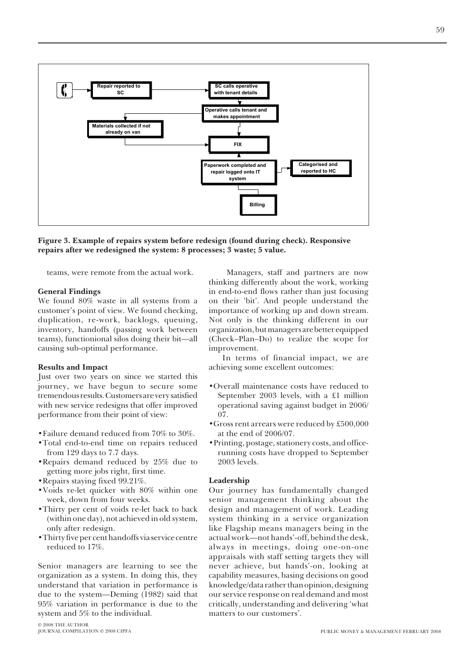

**Figure 3. Example of repairs system before redesign (found during check). Responsive repairs after we redesigned the system: 8 processes; 3 waste; 5 value.**

teams, were remote from the actual work.

#### **General Findings**

We found 80% waste in all systems from a customer's point of view. We found checking, duplication, re-work, backlogs, queuing, inventory, handoffs (passing work between teams), functionional silos doing their bit—all causing sub-optimal performance.

#### **Results and Impact**

Just over two years on since we started this journey, we have begun to secure some tremendous results. Customers are very satisfied with new service redesigns that offer improved performance from their point of view:

- •Failure demand reduced from 70% to 30%.
- •Total end-to-end time on repairs reduced from 129 days to 7.7 days.
- •Repairs demand reduced by 25% due to getting more jobs right, first time.
- •Repairs staying fixed 99.21%.
- •Voids re-let quicker with 80% within one week, down from four weeks.
- •Thirty per cent of voids re-let back to back (within one day), not achieved in old system, only after redesign.
- •Thirty five per cent handoffs via service centre reduced to 17%.

Senior managers are learning to see the organization as a system. In doing this, they understand that variation in performance is due to the system—Deming (1982) said that 95% variation in performance is due to the system and 5% to the individual.

 Managers, staff and partners are now thinking differently about the work, working in end-to-end flows rather than just focusing on their 'bit'. And people understand the importance of working up and down stream. Not only is the thinking different in our organization, but managers are better equipped (Check–Plan–Do) to realize the scope for improvement.

In terms of financial impact, we are achieving some excellent outcomes:

- •Overall maintenance costs have reduced to September 2003 levels, with a £1 million operational saving against budget in 2006/ 07.
- •Gross rent arrears were reduced by £500,000 at the end of 2006/07.
- •Printing, postage, stationery costs, and officerunning costs have dropped to September 2003 levels.

#### **Leadership**

Our journey has fundamentally changed senior management thinking about the design and management of work. Leading system thinking in a service organization like Flagship means managers being in the actual work—not hands'-off, behind the desk, always in meetings, doing one-on-one appraisals with staff setting targets they will never achieve, but hands'-on, looking at capability measures, basing decisions on good knowledge/data rather than opinion, designing our service response on real demand and most critically, understanding and delivering 'what matters to our customers'.